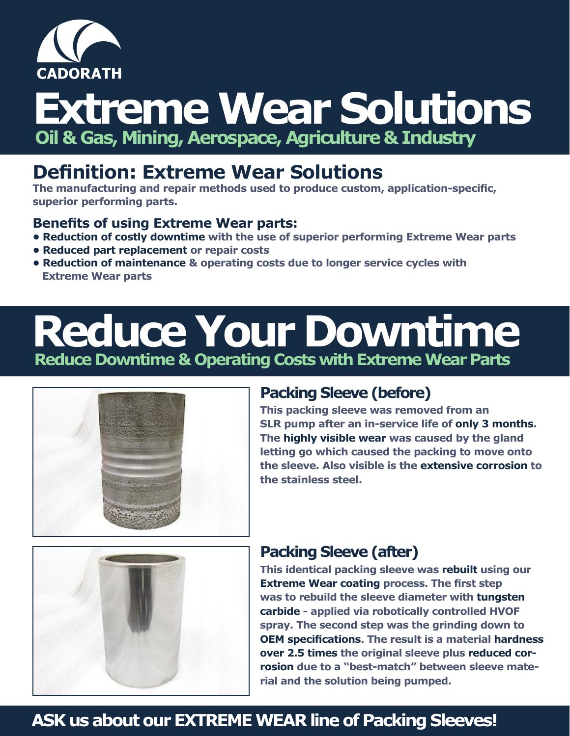

# **Extreme Wear Solutions Oil & Gas, Mining, Aerospace, Agriculture & Industry**

# **Definition: Extreme Wear Solutions**

**The manufacturing and repair methods used to produce custom, application-specific, superior performing parts.**

#### **Benefits of using Extreme Wear parts:**

- **• Reduction of costly downtime with the use of superior performing Extreme Wear parts**
- **• Reduced part replacement or repair costs**
- **• Reduction of maintenance & operating costs due to longer service cycles with Extreme Wear parts**

# **Reduce Your Downtime Reduce Downtime & Operating Costs with Extreme Wear Parts**



### **Packing Sleeve (before)**

**This packing sleeve was removed from an SLR pump after an in-service life of only 3 months. The highly visible wear was caused by the gland letting go which caused the packing to move onto the sleeve. Also visible is the extensive corrosion to the stainless steel.** 



## **Packing Sleeve (after)**

**This identical packing sleeve was rebuilt using our Extreme Wear coating process. The first step was to rebuild the sleeve diameter with tungsten carbide - applied via robotically controlled HVOF spray. The second step was the grinding down to OEM specifications. The result is a material hardness over 2.5 times the original sleeve plus reduced corrosion due to a "best-match" between sleeve material and the solution being pumped.**

## **ASK us about our EXTREME WEAR line of Packing Sleeves!**